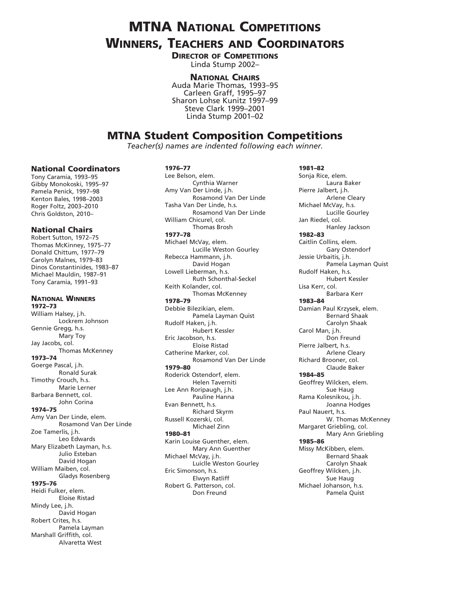# **MTNA NATIONAL COMPETITIONS**

# Winners, Teachers and Coordinators

**DIRECTOR OF COMPETITIONS** Linda Stump 2002–

#### National Chairs

Auda Marie Thomas, 1993–95 Carleen Graff, 1995–97 Sharon Lohse Kunitz 1997–99 Steve Clark 1999–2001 Linda Stump 2001–02

## MTNA Student Composition Competitions

*Teacher(s) names are indented following each winner.*

#### National Coordinators

Tony Caramia, 1993–95 Gibby Monokoski, 1995–97 Pamela Penick, 1997–98 Kenton Bales, 1998–2003 Roger Foltz, 2003–2010 Chris Goldston, 2010–

#### National Chairs

Robert Sutton, 1972–75 Thomas McKinney, 1975–77 Donald Chittum, 1977–79 Carolyn Malnes, 1979–83 Dinos Constantinides, 1983–87 Michael Mauldin, 1987–91 Tony Caramia, 1991–93

National Winners 1972–73 William Halsey, j.h. Lockrem Johnson Gennie Gregg, h.s. Mary Toy Jay Jacobs, col. Thomas McKenney 1973–74 Goerge Pascal, j.h. Ronald Surak Timothy Crouch, h.s. Marie Lerner Barbara Bennett, col. John Corina 1974–75 Amy Van Der Linde, elem. Rosamond Van Der Linde Zoe Tamerlis, j.h. Leo Edwards Mary Elizabeth Layman, h.s. Julio Esteban David Hogan William Maiben, col. Gladys Rosenberg 1975–76 Heidi Fulker, elem. Eloise Ristad Mindy Lee, j.h. David Hogan Robert Crites, h.s. Pamela Layman Marshall Griffith, col. Alvaretta West

#### 1976–77

Lee Belson, elem. Cynthia Warner Amy Van Der Linde, j.h. Rosamond Van Der Linde Tasha Van Der Linde, h.s. Rosamond Van Der Linde William Chicurel, col. Thomas Brosh 1977–78 Michael McVay, elem. Lucille Weston Gourley Rebecca Hammann, j.h. David Hogan Lowell Lieberman, h.s. Ruth Schonthal-Seckel Keith Kolander, col. Thomas McKenney 1978–79 Debbie Bilezikian, elem. Pamela Layman Quist Rudolf Haken, j.h. Hubert Kessler Eric Jacobson, h.s. Eloise Ristad Catherine Marker, col. Rosamond Van Der Linde 1979–80 Roderick Ostendorf, elem. Helen Taverniti Lee Ann Roripaugh, j.h. Pauline Hanna Evan Bennett, h.s. Richard Skyrm Russell Kozerski, col. Michael Zinn 1980–81 Karin Louise Guenther, elem. Mary Ann Guenther Michael McVay, j.h. Luiclle Weston Gourley Eric Simonson, h.s. Elwyn Ratliff Robert G. Patterson, col.

Don Freund

1981–82 Sonja Rice, elem. Laura Baker Pierre Jalbert, j.h. Arlene Cleary Michael McVay, h.s. Lucille Gourley Jan Riedel, col. Hanley Jackson 1982–83 Caitlin Collins, elem. Gary Ostendorf Jessie Urbaitis, j.h. Pamela Layman Quist Rudolf Haken, h.s. Hubert Kessler Lisa Kerr, col. Barbara Kerr 1983–84 Damian Paul Krzysek, elem. Bernard Shaak Carolyn Shaak Carol Man, j.h. Don Freund Pierre Jalbert, h.s. Arlene Cleary Richard Brooner, col. Claude Baker 1984–85 Geoffrey Wilcken, elem. Sue Haug Rama Kolesnikou, j.h. Joanna Hodges Paul Nauert, h.s. W. Thomas McKenney Margaret Griebling, col. Mary Ann Griebling 1985–86 Missy McKibben, elem. Bernard Shaak Carolyn Shaak Geoffrey Wilcken, j.h. Sue Haug Michael Johanson, h.s. Pamela Quist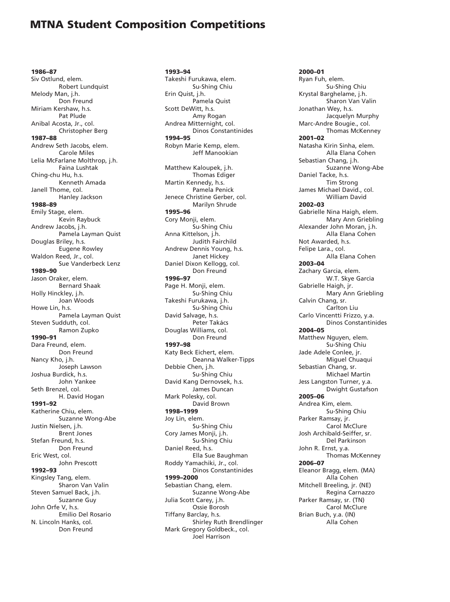### MTNA Student Composition Competitions

1986–87 Siv Ostlund, elem. Robert Lundquist Melody Man, j.h. Don Freund Miriam Kershaw, h.s. Pat Plude Anibal Acosta, Jr., col. Christopher Berg 1987–88 Andrew Seth Jacobs, elem. Carole Miles Lelia McFarlane Molthrop, j.h. Faina Lushtak Ching-chu Hu, h.s. Kenneth Amada Janell Thome, col. Hanley Jackson 1988–89 Emily Stage, elem. Kevin Raybuck Andrew Jacobs, j.h. Pamela Layman Quist Douglas Briley, h.s. Eugene Rowley Waldon Reed, Jr., col. Sue Vanderbeck Lenz 1989–90 Jason Oraker, elem. Bernard Shaak Holly Hinckley, j.h. Joan Woods Howe Lin, h.s. Pamela Layman Quist Steven Sudduth, col. Ramon Zupko 1990–91 Dara Freund, elem. Don Freund Nancy Kho, j.h. Joseph Lawson Joshua Burdick, h.s. John Yankee Seth Brenzel, col. H. David Hogan 1991–92 Katherine Chiu, elem. Suzanne Wong-Abe Justin Nielsen, j.h. Brent Jones Stefan Freund, h.s. Don Freund Eric West, col. John Prescott 1992–93 Kingsley Tang, elem. Sharon Van Valin Steven Samuel Back, j.h. Suzanne Guy John Orfe V, h.s. Emilio Del Rosario N. Lincoln Hanks, col. Don Freund

1993–94 Takeshi Furukawa, elem. Su-Shing Chiu Erin Quist, j.h. Pamela Quist Scott DeWitt, h.s. Amy Rogan Andrea Mitternight, col. Dinos Constantinides 1994–95 Robyn Marie Kemp, elem. Jeff Manookian Matthew Kaloupek, j.h. Thomas Ediger Martin Kennedy, h.s. Pamela Penick Jenece Christine Gerber, col. Marilyn Shrude 1995–96 Cory Monji, elem. Su-Shing Chiu Anna Kittelson, j.h. Judith Fairchild Andrew Dennis Young, h.s. Janet Hickey Daniel Dixon Kellogg, col. Don Freund 1996–97 Page H. Monji, elem. Su-Shing Chiu Takeshi Furukawa, j.h. Su-Shing Chiu David Salvage, h.s. Peter Takács Douglas Williams, col. Don Freund 1997–98 Katy Beck Eichert, elem. Deanna Walker-Tipps Debbie Chen, j.h. Su-Shing Chiu David Kang Dernovsek, h.s. James Duncan Mark Polesky, col. David Brown 1998–1999 Joy Lin, elem. Su-Shing Chiu Cory James Monji, j.h. Su-Shing Chiu Daniel Reed, h.s. Ella Sue Baughman Roddy Yamachiki, Jr., col. Dinos Constantinides 1999–2000 Sebastian Chang, elem. Suzanne Wong-Abe Julia Scott Carey, j.h. Ossie Borosh Tiffany Barclay, h.s. Shirley Ruth Brendlinger Mark Gregory Goldbeck., col. Joel Harrison

2000–01 Ryan Fuh, elem. Su-Shing Chiu Krystal Barghelame, j.h. Sharon Van Valin Jonathan Wey, h.s. Jacquelyn Murphy Marc-Andre Bougie., col. Thomas McKenney 2001–02 Natasha Kirin Sinha, elem. Alla Elana Cohen Sebastian Chang, j.h. Suzanne Wong-Abe Daniel Tacke, h.s. Tim Strong James Michael David., col. William David 2002–03 Gabrielle Nina Haigh, elem. Mary Ann Griebling Alexander John Moran, j.h. Alla Elana Cohen Not Awarded, h.s. Felipe Lara., col. Alla Elana Cohen 2003–04 Zachary Garcia, elem. W.T. Skye Garcia Gabrielle Haigh, jr. Mary Ann Griebling Calvin Chang, sr. Carlton Liu Carlo Vincentti Frizzo, y.a. Dinos Constantinides 2004–05 Matthew Nguyen, elem. Su-Shing Chiu Jade Adele Conlee, jr. Miguel Chuaqui Sebastian Chang, sr. Michael Martin Jess Langston Turner, y.a. Dwight Gustafson 2005–06 Andrea Kim, elem. Su-Shing Chiu Parker Ramsay, jr. Carol McClure Josh Archibald-Seiffer, sr. Del Parkinson John R. Ernst, y.a. Thomas McKenney 2006–07 Eleanor Bragg, elem. (MA) Alla Cohen Mitchell Breeling, jr. (NE) Regina Carnazzo Parker Ramsay, sr. (TN) Carol McClure Brian Buch, y.a. (IN) Alla Cohen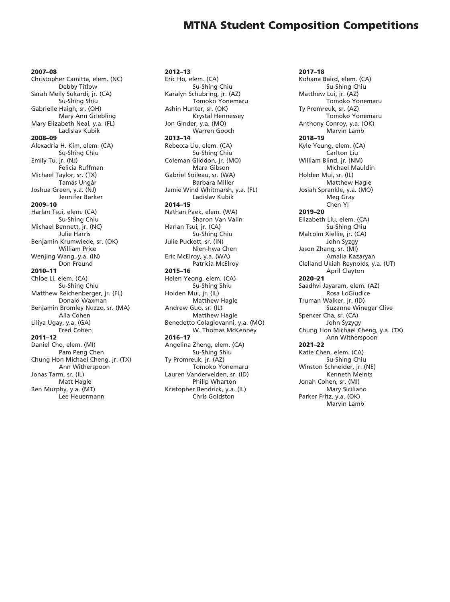### MTNA Student Composition Competitions

2007–08

Christopher Camitta, elem. (NC) Debby Titlow Sarah Meily Sukardi, jr. (CA) Su-Shing Shiu Gabrielle Haigh, sr. (OH) Mary Ann Griebling Mary Elizabeth Neal, y.a. (FL) Ladislav Kubik 2008–09 Alexadria H. Kim, elem. (CA) Su-Shing Chiu Emily Tu, jr. (NJ) Felicia Ruffman Michael Taylor, sr. (TX) Tamás Ungár Joshua Green, y.a. (NJ) Jennifer Barker 2009–10 Harlan Tsui, elem. (CA) Su-Shing Chiu Michael Bennett, jr. (NC) Julie Harris Benjamin Krumwiede, sr. (OK) William Price Wenjing Wang, y.a. (IN) Don Freund 2010–11 Chloe Li, elem. (CA) Su-Shing Chiu Matthew Reichenberger, jr. (FL) Donald Waxman Benjamin Bromley Nuzzo, sr. (MA) Alla Cohen Liliya Ugay, y.a. (GA) Fred Cohen 2011–12 Daniel Cho, elem. (MI) Pam Peng Chen Chung Hon Michael Cheng, jr. (TX) Ann Witherspoon Jonas Tarm, sr. (IL) Matt Hagle Ben Murphy, y.a. (MT) Lee Heuermann

2012–13 Eric Ho, elem. (CA) Su-Shing Chiu Karalyn Schubring, jr. (AZ) Tomoko Yonemaru Ashin Hunter, sr. (OK) Krystal Hennessey Jon Ginder, y.a. (MO) Warren Gooch 2013–14 Rebecca Liu, elem. (CA) Su-Shing Chiu Coleman Gliddon, jr. (MO) Mara Gibson Gabriel Soileau, sr. (WA) Barbara Miller Jamie Wind Whitmarsh, y.a. (FL) Ladislav Kubik 2014–15 Nathan Paek, elem. (WA) Sharon Van Valin Harlan Tsui, jr. (CA) Su-Shing Chiu Julie Puckett, sr. (IN) Nien-hwa Chen Eric McElroy, y.a. (WA) Patricia McElroy 2015–16 Helen Yeong, elem. (CA) Su-Shing Shiu Holden Mui, jr. (IL) Matthew Hagle Andrew Guo, sr. (IL) Matthew Hagle Benedetto Colagiovanni, y.a. (MO) W. Thomas McKenney 2016–17 Angelina Zheng, elem. (CA) Su-Shing Shiu Ty Promreuk, jr. (AZ) Tomoko Yonemaru Lauren Vandervelden, sr. (ID) Philip Wharton Kristopher Bendrick, y.a. (IL) Chris Goldston

2017–18 Kohana Baird, elem. (CA) Su-Shing Chiu Matthew Lui, jr. (AZ) Tomoko Yonemaru Ty Promreuk, sr. (AZ) Tomoko Yonemaru Anthony Conroy, y.a. (OK) Marvin Lamb 2018–19 Kyle Yeung, elem. (CA) Carlton Liu William Blind, jr. (NM) Michael Mauldin Holden Mui, sr. (IL) Matthew Hagle Josiah Sprankle, y.a. (MO) Meg Gray Chen Yi 2019–20 Elizabeth Liu, elem. (CA) Su-Shing Chiu Malcolm Xiellie, jr. (CA) John Syzgy Jason Zhang, sr. (MI) Amalia Kazaryan Clelland Ukiah Reynolds, y.a. (UT) April Clayton 2020–21 Saadhvi Jayaram, elem. (AZ) Rosa LoGiudice Truman Walker, jr. (ID) Suzanne Winegar Clive Spencer Cha, sr. (CA) John Syzygy Chung Hon Michael Cheng, y.a. (TX) Ann Witherspoon 2021–22 Katie Chen, elem. (CA) Su-Shing Chiu Winston Schneider, jr. (NE) Kenneth Meints Jonah Cohen, sr. (MI) Mary Siciliano Parker Fritz, y.a. (OK)

Marvin Lamb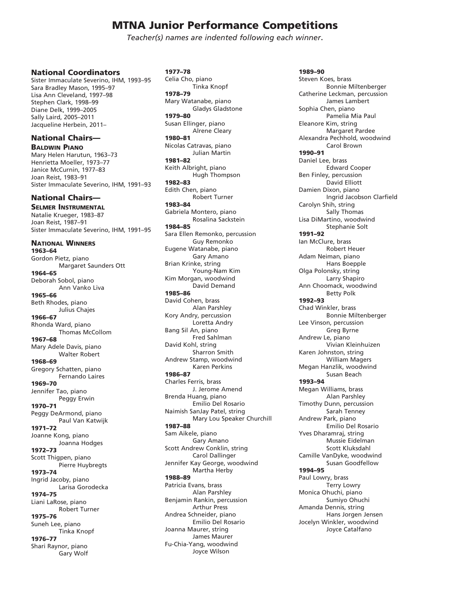*Teacher(s) names are indented following each winner*.

#### National Coordinators

Sister Immaculate Severino, IHM, 1993–95 Sara Bradley Mason, 1995–97 Lisa Ann Cleveland, 1997–98 Stephen Clark, 1998–99 Diane Delk, 1999–2005 Sally Laird, 2005–2011 Jacqueline Herbein, 2011–

#### National Chairs— Baldwin Piano

Mary Helen Harutun, 1963–73 Henrietta Moeller, 1973–77 Janice McCurnin, 1977–83 Joan Reist, 1983–91 Sister Immaculate Severino, IHM, 1991–93

### National Chairs—

Selmer Instrumental Natalie Krueger, 1983–87 Joan Reist, 1987–91 Sister Immaculate Severino, IHM, 1991–95

### National Winners

1963–64 Gordon Pietz, piano Margaret Saunders Ott 1964–65 Deborah Sobol, piano Ann Vanko Liva 1965–66 Beth Rhodes, piano Julius Chajes 1966–67 Rhonda Ward, piano Thomas McCollom 1967–68 Mary Adele Davis, piano Walter Robert 1968–69 Gregory Schatten, piano Fernando Laires 1969–70 Jennifer Tao, piano Peggy Erwin 1970–71 Peggy DeArmond, piano Paul Van Katwijk 1971–72 Joanne Kong, piano Joanna Hodges 1972–73 Scott Thigpen, piano Pierre Huybregts 1973–74 Ingrid Jacoby, piano Larisa Gorodecka 1974–75 Liani LaRose, piano Robert Turner 1975–76 Suneh Lee, piano Tinka Knopf 1976–77 Shari Raynor, piano Gary Wolf

1977–78 Celia Cho, piano Tinka Knopf 1978–79 Mary Watanabe, piano Gladys Gladstone 1979–80 Susan Ellinger, piano Alrene Cleary 1980–81 Nicolas Catravas, piano Julian Martin 1981–82 Keith Albright, piano Hugh Thompson 1982–83 Edith Chen, piano Robert Turner 1983–84 Gabriela Montero, piano Rosalina Sackstein 1984–85 Sara Ellen Remonko, percussion Guy Remonko Eugene Watanabe, piano Gary Amano Brian Krinke, string Young-Nam Kim Kim Morgan, woodwind David Demand 1985–86 David Cohen, brass Alan Parshley Kory Andry, percussion Loretta Andry Bang Sil An, piano Fred Sahlman David Kohl, string Sharron Smith Andrew Stamp, woodwind Karen Perkins 1986–87 Charles Ferris, brass J. Jerome Amend Brenda Huang, piano Emilio Del Rosario Naimish SanJay Patel, string Mary Lou Speaker Churchill 1987–88 Sam Aikele, piano Gary Amano Scott Andrew Conklin, string Carol Dallinger Jennifer Kay George, woodwind Martha Herby 1988–89 Patricia Evans, brass Alan Parshley Benjamin Rankin, percussion Arthur Press Andrea Schneider, piano Emilio Del Rosario Joanna Maurer, string James Maurer Fu-Chia-Yang, woodwind Joyce Wilson

1989–90 Steven Koes, brass Bonnie Miltenberger Catherine Leckman, percussion James Lambert Sophia Chen, piano Pamelia Mia Paul Eleanore Kim, string Margaret Pardee Alexandra Pechhold, woodwind Carol Brown 1990–91 Daniel Lee, brass Edward Cooper Ben Finley, percussion David Elliott Damien Dixon, piano Ingrid Jacobson Clarfield Carolyn Shih, string Sally Thomas Lisa DiMartino, woodwind Stephanie Solt 1991–92 Ian McClure, brass Robert Heuer Adam Neiman, piano Hans Boepple Olga Polonsky, string Larry Shapiro Ann Choomack, woodwind Betty Polk 1992–93 Chad Winkler, brass Bonnie Miltenberger Lee Vinson, percussion Greg Byrne Andrew Le, piano Vivian Kleinhuizen Karen Johnston, string William Magers Megan Hanzlik, woodwind Susan Beach 1993–94 Megan Williams, brass Alan Parshley Timothy Dunn, percussion Sarah Tenney Andrew Park, piano Emilio Del Rosario Yves Dharamraj, string Mussie Eidelman Scott Kluksdahl Camille VanDyke, woodwind Susan Goodfellow 1994–95 Paul Lowry, brass Terry Lowry Monica Ohuchi, piano Sumiyo Ohuchi Amanda Dennis, string Hans Jorgen Jensen Jocelyn Winkler, woodwind Joyce Catalfano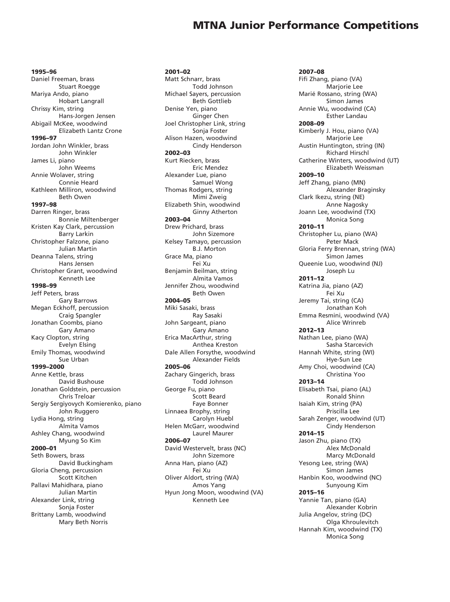1995–96 Daniel Freeman, brass Stuart Roegge Mariya Ando, piano Hobart Langrall Chrissy Kim, string Hans-Jorgen Jensen Abigail McKee, woodwind Elizabeth Lantz Crone 1996–97 Jordan John Winkler, brass John Winkler James Li, piano John Weems Annie Wolaver, string Connie Heard Kathleen Milliron, woodwind Beth Owen 1997–98 Darren Ringer, brass Bonnie Miltenberger Kristen Kay Clark, percussion Barry Larkin Christopher Falzone, piano Julian Martin Deanna Talens, string Hans Jensen Christopher Grant, woodwind Kenneth Lee 1998–99 Jeff Peters, brass Gary Barrows Megan Eckhoff, percussion Craig Spangler Jonathan Coombs, piano Gary Amano Kacy Clopton, string Evelyn Elsing Emily Thomas, woodwind Sue Urban 1999–2000 Anne Kettle, brass David Bushouse Jonathan Goldstein, percussion Chris Treloar Sergiy Sergiyovych Komierenko, piano John Ruggero Lydia Hong, string Almita Vamos Ashley Chang, woodwind Myung So Kim 2000–01 Seth Bowers, brass David Buckingham Gloria Cheng, percussion Scott Kitchen Pallavi Mahidhara, piano Julian Martin

Alexander Link, string Sonja Foster Brittany Lamb, woodwind Mary Beth Norris

2001–02 Matt Schnarr, brass Todd Johnson Michael Sayers, percussion Beth Gottlieb Denise Yen, piano Ginger Chen Joel Christopher Link, string Sonja Foster Alison Hazen, woodwind Cindy Henderson 2002–03 Kurt Riecken, brass Eric Mendez Alexander Lue, piano Samuel Wong Thomas Rodgers, string Mimi Zweig Elizabeth Shin, woodwind Ginny Atherton 2003–04 Drew Prichard, brass John Sizemore Kelsey Tamayo, percussion B.J. Morton Grace Ma, piano Fei Xu Benjamin Beilman, string Almita Vamos Jennifer Zhou, woodwind Beth Owen 2004–05 Miki Sasaki, brass Ray Sasaki John Sargeant, piano Gary Amano Erica MacArthur, string Anthea Kreston Dale Allen Forsythe, woodwind Alexander Fields 2005–06 Zachary Gingerich, brass Todd Johnson George Fu, piano Scott Beard Faye Bonner Linnaea Brophy, string Carolyn Huebl Helen McGarr, woodwind Laurel Maurer 2006–07 David Westervelt, brass (NC) John Sizemore Anna Han, piano (AZ) Fei Xu Oliver Aldort, string (WA) Amos Yang Hyun Jong Moon, woodwind (VA) Kenneth Lee

2007–08 Fifi Zhang, piano (VA) Marjorie Lee Marié Rossano, string (WA) Simon James Annie Wu, woodwind (CA) Esther Landau 2008–09 Kimberly J. Hou, piano (VA) Marjorie Lee Austin Huntington, string (IN) Richard Hirschl Catherine Winters, woodwind (UT) Elizabeth Weissman 2009–10 Jeff Zhang, piano (MN) Alexander Braginsky Clark Ikezu, string (NE) Anne Nagosky Joann Lee, woodwind (TX) Monica Song 2010–11 Christopher Lu, piano (WA) Peter Mack Gloria Ferry Brennan, string (WA) Simon James Queenie Luo, woodwind (NJ) Joseph Lu 2011–12 Katrina Jia, piano (AZ) Fei Xu Jeremy Tai, string (CA) Jonathan Koh Emma Resmini, woodwind (VA) Alice Wrinreb 2012–13 Nathan Lee, piano (WA) Sasha Starcevich Hannah White, string (WI) Hye-Sun Lee Amy Choi, woodwind (CA) Christina Yoo 2013–14 Elisabeth Tsai, piano (AL) Ronald Shinn Isaiah Kim, string (PA) Priscilla Lee Sarah Zenger, woodwind (UT) Cindy Henderson 2014–15 Jason Zhu, piano (TX) Alex McDonald Marcy McDonald Yesong Lee, string (WA) Simon James Hanbin Koo, woodwind (NC) Sunyoung Kim 2015–16 Yannie Tan, piano (GA) Alexander Kobrin Julia Angelov, string (DC) Olga Khroulevitch Hannah Kim, woodwind (TX) Monica Song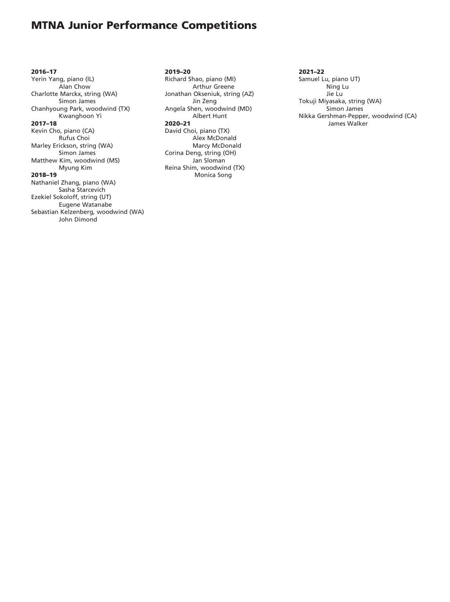2016–17 Yerin Yang, piano (IL) Alan Chow Charlotte Marckx, string (WA) Simon James Chanhyoung Park, woodwind (TX) Kwanghoon Yi 2017–18 Kevin Cho, piano (CA) Rufus Choi Marley Erickson, string (WA) Simon James Matthew Kim, woodwind (MS) Myung Kim 2018–19 Nathaniel Zhang, piano (WA) Sasha Starcevich Ezekiel Sokoloff, string (UT) Eugene Watanabe Sebastian Kelzenberg, woodwind (WA) John Dimond

2019–20 Richard Shao, piano (MI) Arthur Greene Jonathan Okseniuk, string (AZ) Jin Zeng Angela Shen, woodwind (MD) Albert Hunt 2020–21 David Choi, piano (TX) Alex McDonald Marcy McDonald Corina Deng, string (OH) Jan Sloman Reina Shim, woodwind (TX) Monica Song

#### 2021–22

Samuel Lu, piano UT) Ning Lu Jie Lu Tokuji Miyasaka, string (WA) Simon James Nikka Gershman-Pepper, woodwind (CA) James Walker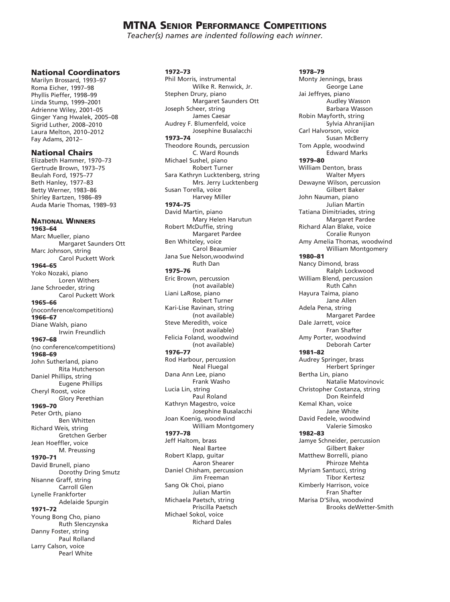*Teacher(s) names are indented following each winner.*

#### National Coordinators

Marilyn Brossard, 1993–97 Roma Eicher, 1997–98 Phyllis Pieffer, 1998–99 Linda Stump, 1999–2001 Adrienne Wiley, 2001–05 Ginger Yang Hwalek, 2005–08 Sigrid Luther, 2008–2010 Laura Melton, 2010–2012 Fay Adams, 2012–

#### National Chairs

Elizabeth Hammer, 1970–73 Gertrude Brown, 1973–75 Beulah Ford, 1975–77 Beth Hanley, 1977–83 Betty Werner, 1983–86 Shirley Bartzen, 1986–89 Auda Marie Thomas, 1989–93

National Winners 1963–64 Marc Mueller, piano Margaret Saunders Ott Marc Johnson, string Carol Puckett Work 1964–65 Yoko Nozaki, piano Loren Withers Jane Schroeder, string Carol Puckett Work 1965–66 (noconference/competitions) 1966–67 Diane Walsh, piano Irwin Freundlich 1967–68 (no conference/competitions) 1968–69 John Sutherland, piano Rita Hutcherson Daniel Phillips, string Eugene Phillips Cheryl Roost, voice Glory Perethian 1969–70 Peter Orth, piano Ben Whitten Richard Weis, string Gretchen Gerber Jean Hoeffler, voice M. Preussing 1970–71 David Brunell, piano Dorothy Dring Smutz Nisanne Graff, string Carroll Glen Lynelle Frankforter Adelaide Spurgin 1971–72 Young Bong Cho, piano Ruth Slenczynska Danny Foster, string Paul Rolland

Larry Calson, voice

Pearl White

1972–73

Phil Morris, instrumental Wilke R. Renwick, Jr. Stephen Drury, piano Margaret Saunders Ott Joseph Scheer, string James Caesar Audrey F. Blumenfeld, voice Josephine Busalacchi 1973–74 Theodore Rounds, percussion C. Ward Rounds Michael Sushel, piano Robert Turner Sara Kathryn Lucktenberg, string Mrs. Jerry Lucktenberg Susan Torella, voice Harvey Miller 1974–75 David Martin, piano Mary Helen Harutun Robert McDuffie, string Margaret Pardee Ben Whiteley, voice Carol Beaumier Jana Sue Nelson,woodwind Ruth Dan 1975–76 Eric Brown, percussion (not available) Liani LaRose, piano Robert Turner Kari-Lise Ravinan, string (not available) Steve Meredith, voice (not available) Felicia Foland, woodwind (not available) 1976–77 Rod Harbour, percussion Neal Fluegal Dana Ann Lee, piano Frank Washo Lucia Lin, string Paul Roland Kathryn Magestro, voice Josephine Busalacchi Joan Koenig, woodwind William Montgomery 1977–78 Jeff Haltom, brass Neal Bartee Robert Klapp, guitar Aaron Shearer Daniel Chisham, percussion Jim Freeman Sang Ok Choi, piano Julian Martin Michaela Paetsch, string Priscilla Paetsch Michael Sokol, voice Richard Dales

1978–79 Monty Jennings, brass George Lane Jai Jeffryes, piano Audley Wasson Barbara Wasson Robin Mayforth, string Sylvia Ahranijian Carl Halvorson, voice Susan McBerry Tom Apple, woodwind Edward Marks 1979–80 William Denton, brass Walter Myers Dewayne Wilson, percussion Gilbert Baker John Nauman, piano Julian Martin Tatiana Dimitriades, string Margaret Pardee Richard Alan Blake, voice Coralie Runyon Amy Amelia Thomas, woodwind William Montgomery 1980–81 Nancy Dimond, brass Ralph Lockwood William Blend, percussion Ruth Cahn Hayura Taima, piano Jane Allen Adela Pena, string Margaret Pardee Dale Jarrett, voice Fran Shafter Amy Porter, woodwind Deborah Carter 1981–82 Audrey Springer, brass Herbert Springer Bertha Lin, piano Natalie Matovinovic Christopher Costanza, string Don Reinfeld Kemal Khan, voice Jane White David Fedele, woodwind Valerie Simosko 1982–83 Jamye Schneider, percussion Gilbert Baker Matthew Borrelli, piano Phiroze Mehta Myriam Santucci, string Tibor Kertesz Kimberly Harrison, voice Fran Shafter Marisa D'Silva, woodwind

Brooks deWetter-Smith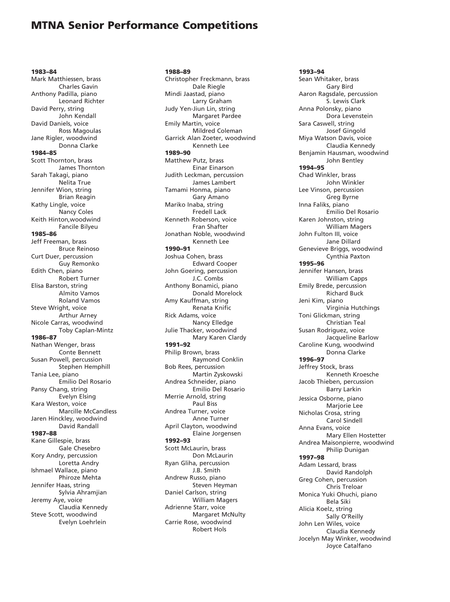1983–84 Mark Matthiessen, brass Charles Gavin Anthony Padilla, piano Leonard Richter David Perry, string John Kendall David Daniels, voice Ross Magoulas Jane Rigler, woodwind Donna Clarke 1984–85 Scott Thornton, brass James Thornton Sarah Takagi, piano Nelita True Jennifer Wion, string Brian Reagin Kathy Lingle, voice Nancy Coles Keith Hinton,woodwind Fancile Bilyeu 1985–86 Jeff Freeman, brass Bruce Reinoso Curt Duer, percussion Guy Remonko Edith Chen, piano Robert Turner Elisa Barston, string Almito Vamos Roland Vamos Steve Wright, voice Arthur Arney Nicole Carras, woodwind Toby Caplan-Mintz 1986–87 Nathan Wenger, brass Conte Bennett Susan Powell, percussion Stephen Hemphill Tania Lee, piano Emilio Del Rosario Pansy Chang, string Evelyn Elsing Kara Weston, voice Marcille McCandless Jaren Hinckley, woodwind David Randall 1987–88 Kane Gillespie, brass Gale Chesebro Kory Andry, percussion Loretta Andry Ishmael Wallace, piano Phiroze Mehta Jennifer Haas, string Sylvia Ahramjian Jeremy Aye, voice Claudia Kennedy Steve Scott, woodwind Evelyn Loehrlein

1988–89 Christopher Freckmann, brass Dale Riegle Mindi Jaastad, piano Larry Graham Judy Yen-Jiun Lin, string Margaret Pardee Emily Martin, voice Mildred Coleman Garrick Alan Zoeter, woodwind Kenneth Lee 1989–90 Matthew Putz, brass Einar Einarson Judith Leckman, percussion James Lambert Tamami Honma, piano Gary Amano Mariko Inaba, string Fredell Lack Kenneth Roberson, voice Fran Shafter Jonathan Noble, woodwind Kenneth Lee 1990–91 Joshua Cohen, brass Edward Cooper John Goering, percussion J.C. Combs Anthony Bonamici, piano Donald Morelock Amy Kauffman, string Renata Knific Rick Adams, voice Nancy Elledge Julie Thacker, woodwind Mary Karen Clardy 1991–92 Philip Brown, brass Raymond Conklin Bob Rees, percussion Martin Zyskowski Andrea Schneider, piano Emilio Del Rosario Merrie Arnold, string Paul Biss Andrea Turner, voice Anne Turner April Clayton, woodwind Elaine Jorgensen 1992–93 Scott McLaurin, brass Don McLaurin Ryan Gliha, percussion J.B. Smith Andrew Russo, piano Steven Heyman Daniel Carlson, string William Magers Adrienne Starr, voice Margaret McNulty Carrie Rose, woodwind Robert Hols

#### 1993–94 Sean Whitaker, brass Gary Bird Aaron Ragsdale, percussion S. Lewis Clark Anna Polonsky, piano Dora Levenstein Sara Caswell, string Josef Gingold Miya Watson Davis, voice Claudia Kennedy Benjamin Hausman, woodwind John Bentley 1994–95 Chad Winkler, brass John Winkler Lee Vinson, percussion Greg Byrne Inna Faliks, piano Emilio Del Rosario Karen Johnston, string William Magers John Fulton III, voice Jane Dillard Genevieve Briggs, woodwind Cynthia Paxton 1995–96 Jennifer Hansen, brass William Capps Emily Brede, percussion Richard Buck Jeni Kim, piano Virginia Hutchings Toni Glickman, string Christian Teal Susan Rodriguez, voice Jacqueline Barlow Caroline Kung, woodwind Donna Clarke 1996–97 Jeffrey Stock, brass Kenneth Kroesche Jacob Thieben, percussion Barry Larkin Jessica Osborne, piano Marjorie Lee Nicholas Crosa, string Carol Sindell Anna Evans, voice Mary Ellen Hostetter Andrea Maisonpierre, woodwind Philip Dunigan 1997–98 Adam Lessard, brass David Randolph Greg Cohen, percussion Chris Treloar Monica Yuki Ohuchi, piano Bela Siki Alicia Koelz, string Sally O'Reilly John Len Wiles, voice Claudia Kennedy Jocelyn May Winker, woodwind

Joyce Catalfano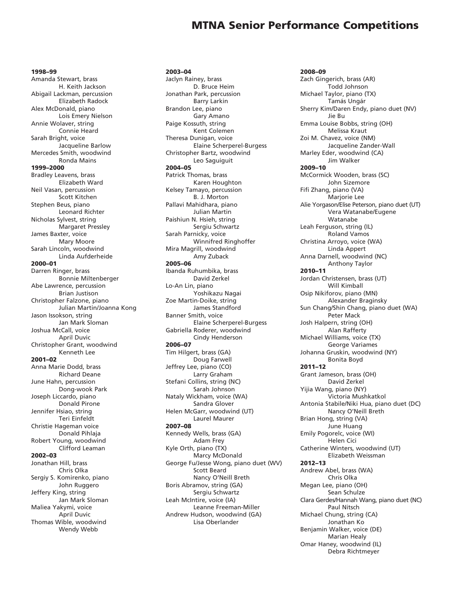1998–99 Amanda Stewart, brass H. Keith Jackson Abigail Lackman, percussion Elizabeth Radock Alex McDonald, piano Lois Emery Nielson Annie Wolaver, string Connie Heard Sarah Bright, voice Jacqueline Barlow Mercedes Smith, woodwind Ronda Mains 1999–2000 Bradley Leavens, brass Elizabeth Ward Neil Vasan, percussion Scott Kitchen Stephen Beus, piano Leonard Richter Nicholas Sylvest, string Margaret Pressley James Baxter, voice Mary Moore Sarah Lincoln, woodwind Linda Aufderheide 2000–01 Darren Ringer, brass Bonnie Miltenberger Abe Lawrence, percussion Brian Justison Christopher Falzone, piano Julian Martin/Joanna Kong Jason Issokson, string Jan Mark Sloman Joshua McCall, voice April Duvic Christopher Grant, woodwind Kenneth Lee 2001–02 Anna Marie Dodd, brass Richard Deane June Hahn, percussion Dong-wook Park Joseph Liccardo, piano Donald Pirone Jennifer Hsiao, string Teri Einfeldt Christie Hageman voice Donald Pihlaja Robert Young, woodwind Clifford Leaman 2002–03 Jonathan Hill, brass Chris Olka Sergiy S. Komirenko, piano John Ruggero Jeffery King, string Jan Mark Sloman Maliea Yakymi, voice

April Duvic Thomas Wible, woodwind Wendy Webb

2003–04 Jaclyn Rainey, brass D. Bruce Heim Jonathan Park, percussion Barry Larkin Brandon Lee, piano Gary Amano Paige Kossuth, string Kent Colemen Theresa Dunigan, voice Elaine Scherperel-Burgess Christopher Bartz, woodwind Leo Saguiguit 2004–05 Patrick Thomas, brass Karen Houghton Kelsey Tamayo, percussion B. J. Morton Pallavi Mahidhara, piano Julian Martin Paishiun N. Hsieh, string Sergiu Schwartz Sarah Parnicky, voice Winnifred Ringhoffer Mira Magrill, woodwind Amy Zuback 2005–06 Ibanda Ruhumbika, brass David Zerkel Lo-An Lin, piano Yoshikazu Nagai Zoe Martin-Doike, string James Standford Banner Smith, voice Elaine Scherperel-Burgess Gabriella Roderer, woodwind Cindy Henderson 2006–07 Tim Hilgert, brass (GA) Doug Farwell Jeffrey Lee, piano (CO) Larry Graham Stefani Collins, string (NC) Sarah Johnson Nataly Wickham, voice (WA) Sandra Glover Helen McGarr, woodwind (UT) Laurel Maurer 2007–08 Kennedy Wells, brass (GA) Adam Frey Kyle Orth, piano (TX) Marcy McDonald George Fu/Jesse Wong, piano duet (WV) Scott Beard Nancy O'Neill Breth Boris Abramov, string (GA) Sergiu Schwartz Leah McIntire, voice (IA) Leanne Freeman-Miller Andrew Hudson, woodwind (GA) Lisa Oberlander

2008–09 Zach Gingerich, brass (AR) Todd Johnson Michael Taylor, piano (TX) Tamás Ungár Sherry Kim/Daren Endy, piano duet (NV) Jie Bu Emma Louise Bobbs, string (OH) Melissa Kraut Zoi M. Chavez, voice (NM) Jacqueline Zander-Wall Marley Eder, woodwind (CA) Jim Walker 2009–10 McCormick Wooden, brass (SC) John Sizemore Fifi Zhang, piano (VA) Marjorie Lee Alie Yorgason/Elise Peterson, piano duet (UT) Vera Watanabe/Eugene Watanabe Leah Ferguson, string (IL) Roland Vamos Christina Arroyo, voice (WA) Linda Appert Anna Darnell, woodwind (NC) Anthony Taylor 2010–11 Jordan Christensen, brass (UT) Will Kimball Osip Nikiforov, piano (MN) Alexander Braginsky Sun Chang/Shin Chang, piano duet (WA) Peter Mack Josh Halpern, string (OH) Alan Rafferty Michael Williams, voice (TX) George Variames Johanna Gruskin, woodwind (NY) Bonita Boyd 2011–12 Grant Jameson, brass (OH) David Zerkel Yijia Wang, piano (NY) Victoria Mushkatkol Antonia Stabile/Niki Hua, piano duet (DC) Nancy O'Neill Breth Brian Hong, string (VA) June Huang Emily Pogorelc, voice (WI) Helen Cici Catherine Winters, woodwind (UT) Elizabeth Weissman 2012–13 Andrew Abel, brass (WA) Chris Olka Megan Lee, piano (OH) Sean Schulze Clara Gerdes/Hannah Wang, piano duet (NC) Paul Nitsch Michael Chung, string (CA) Jonathan Ko Benjamin Walker, voice (DE) Marian Healy Omar Haney, woodwind (IL) Debra Richtmeyer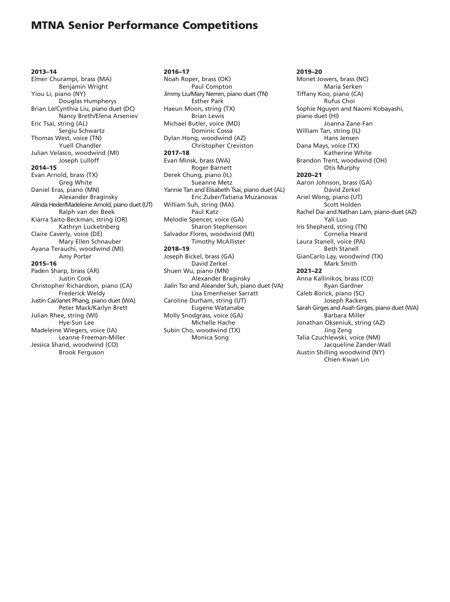2013–14 Elmer Churampi, brass (MA) Benjamin Wright Yiou Li, piano (NY) Douglas Humpherys Brian Le/Cynthia Liu, piano duet (DC) Nancy Breth/Elena Arseniev Eric Tsai, string (AL) Sergiu Schwartz Thomas West, voice (TN) Yuell Chandler Julian Velasco, woodwind (MI) Joseph Lulloff 2014–15 Evan Arnold, brass (TX) Greg White Daniel Eras, piano (MN) Alexander Braginsky Alinda Heder/Madeleine Arnold, piano duet (UT) Ralph van der Beek Kiarra Saito-Beckman, string (OR) Kathryn Lucketnberg Claire Caverly, voice (DE) Mary Ellen Schnauber Ayana Terauchi, woodwind (MI) Amy Porter 2015–16 Paden Sharp, brass (AR) Justin Cook Christopher Richardson, piano (CA) Frederick Weldy Justin Cai/Janet Phang, piano duet (WA) Peter Mack/Karlyn Brett Julian Rhee, string (WI) Hye-Sun Lee Madeleine Wiegers, voice (IA) Leanne Freeman-Miller Jessica Shand, woodwind (CO) Brook Ferguson

2016–17 Noah Roper, brass (OK) Paul Compton Jimmy Liu/Mary Nerren, piano duet (TN) Esther Park Haeun Moon, string (TX) Brian Lewis Michael Butler, voice (MD) Dominic Cossa Dylan Hong, woodwind (AZ) Christopher Creviston 2017–18 Evan Minsk, brass (WA) Roger Barnett Derek Chung, piano (IL) Sueanne Metz Yannie Tan and Elisabeth Tsai, piano duet (AL) Eric Zuber/Tatiana Muzanovas William Suh, string (MA) Paul Katz Melodie Spencer, voice (GA) Sharon Stephenson Salvador Flores, woodwind (MI) Timothy McAllister 2018–19 Joseph Bickel, brass (GA) David Zerkel Shuen Wu, piano (MN) Alexander Braginsky Jialin Tso and Aleander Suh, piano duet (VA) Lisa Emenheiser Sarratt Caroline Durham, string (UT) Eugene Watanabe Molly Snodgrass, voice (GA) Michelle Hache Subin Cho, woodwind (TX) Monica Song

2019–20 Monet Jowers, brass (NC) Maria Serken Tiffany Koo, piano (CA) Rufus Choi Sophie Nguyen and Naomi Kobayashi, piano duet (HI) Joanna Zane-Fan William Tan, string (IL) Hans Jensen Dana Mays, voice (TX) Katherine White Brandon Trent, woodwind (OH) Otis Murphy 2020–21 Aaron Johnson, brass (GA) David Zerkel Ariel Wong, piano (UT) Scott Holden Rachel Dai and Nathan Lam, piano duet (AZ) Yali Luo Iris Shepherd, string (TN) Cornelia Heard Laura Stanell, voice (PA) Beth Stanell GianCarlo Lay, woodwind (TX) Mark Smith 2021–22 Anna Kallinikos, brass (CO) Ryan Gardner Caleb Borick, piano (SC) Joseph Rackers Sarah Girges and Avah Girges, piano duet (WA) Barbara Miller Jonathan Okseniuk, string (AZ) Jing Zeng Talia Czuchlewski, voice (NM) Jacqueline Zander-Wall Austin Shilling woodwind (NY) Chien-Kwan Lin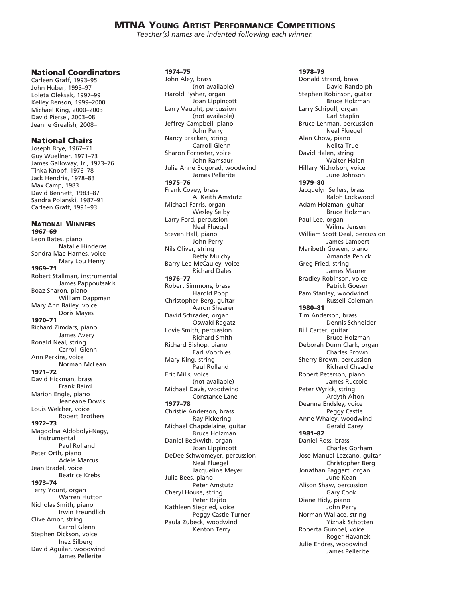*Teacher(s) names are indented following each winner.*

#### National Coordinators

Carleen Graff, 1993–95 John Huber, 1995–97 Loleta Oleksak, 1997–99 Kelley Benson, 1999–2000 Michael King, 2000–2003 David Piersel, 2003–08 Jeanne Grealish, 2008–

#### National Chairs

Joseph Brye, 1967–71 Guy Wuellner, 1971–73 James Galloway, Jr., 1973–76 Tinka Knopf, 1976–78 Jack Hendrix, 1978–83 Max Camp, 1983 David Bennett, 1983–87 Sandra Polanski, 1987–91 Carleen Graff, 1991–93

National Winners 1967–69 Leon Bates, piano Natalie Hinderas Sondra Mae Harnes, voice Mary Lou Henry 1969–71 Robert Stallman, instrumental James Pappoutsakis Boaz Sharon, piano William Dappman Mary Ann Bailey, voice Doris Mayes 1970–71 Richard Zimdars, piano James Avery Ronald Neal, string Carroll Glenn Ann Perkins, voice Norman McLean 1971–72 David Hickman, brass Frank Baird Marion Engle, piano Jeaneane Dowis Louis Welcher, voice Robert Brothers 1972–73 Magdolna Aldobolyi-Nagy, instrumental Paul Rolland Peter Orth, piano Adele Marcus Jean Bradel, voice Beatrice Krebs 1973–74 Terry Yount, organ Warren Hutton Nicholas Smith, piano Irwin Freundlich Clive Amor, string Carrol Glenn Stephen Dickson, voice Inez Silberg David Aguilar, woodwind

James Pellerite

#### 1974–75

John Aley, brass (not available) Harold Pysher, organ Joan Lippincott Larry Vaught, percussion (not available) Jeffrey Campbell, piano John Perry Nancy Bracken, string Carroll Glenn Sharon Forrester, voice John Ramsaur Julia Anne Bogorad, woodwind James Pellerite 1975–76 Frank Covey, brass A. Keith Amstutz Michael Farris, organ Wesley Selby Larry Ford, percussion Neal Fluegel Steven Hall, piano John Perry Nils Oliver, string Betty Mulchy Barry Lee McCauley, voice Richard Dales 1976–77 Robert Simmons, brass Harold Popp Christopher Berg, guitar Aaron Shearer David Schrader, organ Oswald Ragatz Lovie Smith, percussion Richard Smith Richard Bishop, piano Earl Voorhies Mary King, string Paul Rolland Eric Mills, voice (not available) Michael Davis, woodwind Constance Lane 1977–78 Christie Anderson, brass Ray Pickering Michael Chapdelaine, guitar Bruce Holzman Daniel Beckwith, organ Joan Lippincott DeDee Schwomeyer, percussion Neal Fluegel Jacqueline Meyer Julia Bees, piano Peter Amstutz Cheryl House, string Peter Rejito Kathleen Siegried, voice Peggy Castle Turner Paula Zubeck, woodwind Kenton Terry

1978–79 Donald Strand, brass David Randolph Stephen Robinson, guitar Bruce Holzman Larry Schipull, organ Carl Staplin Bruce Lehman, percussion Neal Fluegel Alan Chow, piano Nelita True David Halen, string Walter Halen Hillary Nicholson, voice June Johnson 1979–80 Jacquelyn Sellers, brass Ralph Lockwood Adam Holzman, guitar Bruce Holzman Paul Lee, organ Wilma Jensen William Scott Deal, percussion James Lambert Maribeth Gowen, piano Amanda Penick Greg Fried, string James Maurer Bradley Robinson, voice Patrick Goeser Pam Stanley, woodwind Russell Coleman 1980–81 Tim Anderson, brass Dennis Schneider Bill Carter, guitar Bruce Holzman Deborah Dunn Clark, organ Charles Brown Sherry Brown, percussion Richard Cheadle Robert Peterson, piano James Ruccolo Peter Wyrick, string Ardyth Alton Deanna Endsley, voice Peggy Castle Anne Whaley, woodwind Gerald Carey 1981–82 Daniel Ross, brass Charles Gorham Jose Manuel Lezcano, guitar Christopher Berg Jonathan Faggart, organ June Kean Alison Shaw, percussion Gary Cook Diane Hidy, piano John Perry Norman Wallace, string Yizhak Schotten Roberta Gumbel, voice Roger Havanek Julie Endres, woodwind James Pellerite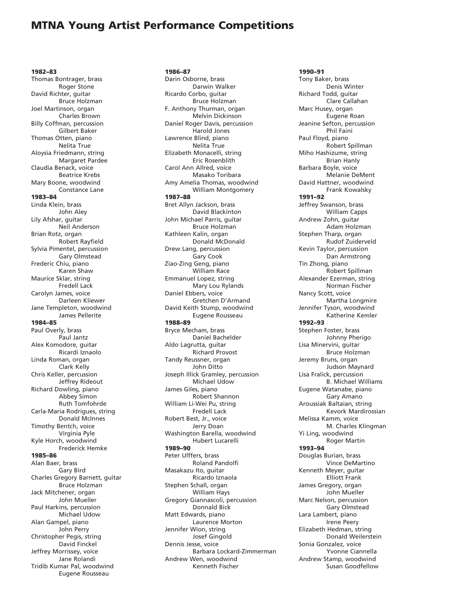1982–83 Thomas Bontrager, brass Roger Stone David Richter, guitar Bruce Holzman Joel Martinson, organ Charles Brown Billy Coffman, percussion Gilbert Baker Thomas Otten, piano Nelita True Aloysia Friedmann, string Margaret Pardee Claudia Benack, voice Beatrice Krebs Mary Boone, woodwind Constance Lane 1983–84 Linda Klein, brass John Aley Lily Afshar, guitar Neil Anderson Brian Rotz, organ Robert Rayfield Sylvia Pimentel, percussion Gary Olmstead Frederic Chiu, piano Karen Shaw Maurice Sklar, string Fredell Lack Carolyn James, voice Darleen Kliewer Jane Templeton, woodwind James Pellerite 1984–85 Paul Overly, brass Paul Jantz Alex Komodore, guitar Ricardi Iznaolo Linda Roman, organ Clark Kelly Chris Keller, percussion Jeffrey Rideout Richard Dowling, piano Abbey Simon Ruth Tomfohrde Carla-Maria Rodrigues, string Donald McInnes Timothy Bentch, voice Virginia Pyle Kyle Horch, woodwind Frederick Hemke 1985–86 Alan Baer, brass Gary Bird Charles Gregory Barnett, guitar Bruce Holzman Jack Mitchener, organ John Mueller Paul Harkins, percussion Michael Udow Alan Gampel, piano John Perry Christopher Pegis, string David Finckel Jeffrey Morrissey, voice Jane Rolandi Tridib Kumar Pal, woodwind

Eugene Rousseau

1986–87 Darin Osborne, brass Darwin Walker Ricardo Corbo, guitar Bruce Holzman F. Anthony Thurman, organ Melvin Dickinson Daniel Roger Davis, percussion Harold Jones Lawrence Blind, piano Nelita True Elizabeth Monacelli, string Eric Rosenblith Carol Ann Allred, voice Masako Toribara Amy Amelia Thomas, woodwind William Montgomery 1987–88 Bret Allyn Jackson, brass David Blackinton John Michael Parris, guitar Bruce Holzman Kathleen Kalin, organ Donald McDonald Drew Lang, percussion Gary Cook Ziao-Zing Geng, piano William Race Emmanuel Lopez, string Mary Lou Rylands Daniel Ebbers, voice Gretchen D'Armand David Keith Stump, woodwind Eugene Rousseau 1988–89 Bryce Mecham, brass Daniel Bachelder Aldo Lagrutta, guitar Richard Provost Tandy Reussner, organ John Ditto Joseph Illick Gramley, percussion Michael Udow James Giles, piano Robert Shannon William Li-Wei Pu, string Fredell Lack Robert Best, Jr., voice Jerry Doan Washington Barella, woodwind Hubert Lucarelli 1989–90 Peter Ulffers, brass Roland Pandolfi Masakazu Ito, guitar Ricardo Iznaola Stephen Schall, organ William Hays Gregory Giannascoli, percussion Donnald Bick Matt Edwards, piano Laurence Morton Jennifer Wion, string Josef Gingold Dennis Jesse, voice Barbara Lockard-Zimmerman Andrew Wen, woodwind Kenneth Fischer

1990–91 Tony Baker, brass Denis Winter Richard Todd, guitar Clare Callahan Marc Husey, organ Eugene Roan Jeanine Sefton, percussion Phil Faini Paul Floyd, piano Robert Spillman Miho Hashizume, string Brian Hanly Barbara Boyle, voice Melanie DeMent David Hattner, woodwind Frank Kowalsky 1991–92 Jeffrey Swanson, brass William Capps Andrew Zohn, guitar Adam Holzman Stephen Tharp, organ Rudof Zuiderveld Kevin Taylor, percussion Dan Armstrong Tin Zhong, piano Robert Spillman Alexander Ezerman, string Norman Fischer Nancy Scott, voice Martha Longmire Jennifer Tyson, woodwind Katherine Kemler 1992–93 Stephen Foster, brass Johnny Pherigo Lisa Minervini, guitar Bruce Holzman Jeremy Bruns, organ Judson Maynard Lisa Fralick, percussion B. Michael Williams Eugene Watanabe, piano Gary Amano Aroussiak Baltaian, string Kevork Mardirossian Melissa Kamm, voice M. Charles Klingman Yi Ling, woodwind Roger Martin 1993–94 Douglas Burian, brass Vince DeMartino Kenneth Meyer, guitar Elliott Frank James Gregory, organ John Mueller Marc Nelson, percussion Gary Olmstead Lara Lambert, piano Irene Peery Elizabeth Hedman, string Donald Weilerstein Sonia Gonzalez, voice Yvonne Ciannella Andrew Stamp, woodwind Susan Goodfellow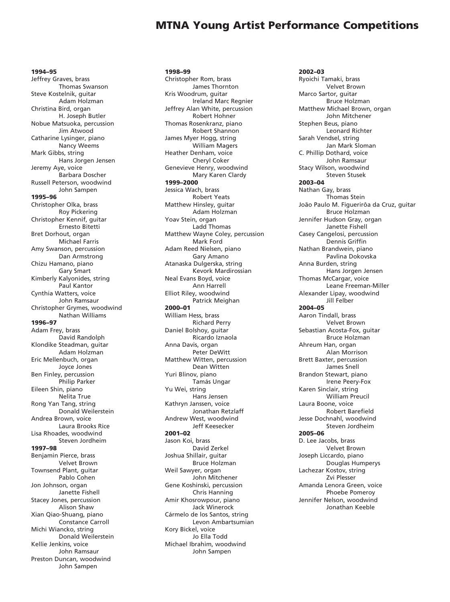1994–95 Jeffrey Graves, brass Thomas Swanson Steve Kostelnik, guitar Adam Holzman Christina Bird, organ H. Joseph Butler Nobue Matsuoka, percussion Jim Atwood Catharine Lysinger, piano Nancy Weems Mark Gibbs, string Hans Jorgen Jensen Jeremy Aye, voice Barbara Doscher Russell Peterson, woodwind John Sampen 1995–96 Christopher Olka, brass Roy Pickering Christopher Kennif, guitar Ernesto Bitetti Bret Dorhout, organ Michael Farris Amy Swanson, percussion Dan Armstrong Chizu Hamano, piano Gary Smart Kimberly Kalyonides, string Paul Kantor Cynthia Watters, voice John Ramsaur Christopher Grymes, woodwind Nathan Williams 1996–97 Adam Frey, brass David Randolph Klondike Steadman, guitar Adam Holzman Eric Mellenbuch, organ Joyce Jones Ben Finley, percussion Philip Parker Eileen Shin, piano Nelita True Rong Yan Tang, string Donald Weilerstein Andrea Brown, voice Laura Brooks Rice Lisa Rhoades, woodwind Steven Jordheim 1997–98 Benjamin Pierce, brass Velvet Brown Townsend Plant, guitar Pablo Cohen Jon Johnson, organ Janette Fishell Stacey Jones, percussion Alison Shaw Xian Qiao-Shuang, piano Constance Carroll Michi Wiancko, string Donald Weilerstein Kellie Jenkins, voice John Ramsaur Preston Duncan, woodwind John Sampen

1998–99 Christopher Rom, brass James Thornton Kris Woodrum, guitar Ireland Marc Regnier Jeffrey Alan White, percussion Robert Hohner Thomas Rosenkranz, piano Robert Shannon James Myer Hogg, string William Magers Heather Denham, voice Cheryl Coker Genevieve Henry, woodwind Mary Karen Clardy 1999–2000 Jessica Wach, brass Robert Yeats Matthew Hinsley, guitar Adam Holzman Yoav Stein, organ Ladd Thomas Matthew Wayne Coley, percussion Mark Ford Adam Reed Nielsen, piano Gary Amano Atanaska Dulgerska, string Kevork Mardirossian Neal Evans Boyd, voice Ann Harrell Elliot Riley, woodwind Patrick Meighan 2000–01 William Hess, brass Richard Perry Daniel Bolshoy, guitar Ricardo Iznaola Anna Davis, organ Peter DeWitt Matthew Witten, percussion Dean Witten Yuri Blinov, piano Tamás Ungar Yu Wei, string Hans Jensen Kathryn Janssen, voice Jonathan Retzlaff Andrew West, woodwind Jeff Keesecker 2001–02 Jason Koi, brass David Zerkel Joshua Shillair, guitar Bruce Holzman Weil Sawyer, organ John Mitchener Gene Koshinski, percussion Chris Hanning Amir Khosrowpour, piano Jack Winerock Cármelo de los Santos, string Levon Ambartsumian Kory Bickel, voice Jo Ella Todd Michael Ibrahim, woodwind John Sampen

2002–03 Ryoichi Tamaki, brass Velvet Brown Marco Sartor, guitar Bruce Holzman Matthew Michael Brown, organ John Mitchener Stephen Beus, piano Leonard Richter Sarah Vendsel, string Jan Mark Sloman C. Phillip Dothard, voice John Ramsaur Stacy Wilson, woodwind Steven Stusek 2003–04 Nathan Gay, brass Thomas Stein João Paulo M. Figuerirôa da Cruz, guitar Bruce Holzman Jennifer Hudson Gray, organ Janette Fishell Casey Cangelosi, percussion Dennis Griffin Nathan Brandwein, piano Pavlina Dokovska Anna Burden, string Hans Jorgen Jensen Thomas McCargar, voice Leane Freeman-Miller Alexander Lipay, woodwind Jill Felber 2004–05 Aaron Tindall, brass Velvet Brown Sebastian Acosta-Fox, guitar Bruce Holzman Ahreum Han, organ Alan Morrison Brett Baxter, percussion James Snell Brandon Stewart, piano Irene Peery-Fox Karen Sinclair, string William Preucil Laura Boone, voice Robert Barefield Jesse Dochnahl, woodwind Steven Jordheim 2005–06 D. Lee Jacobs, brass Velvet Brown Joseph Liccardo, piano Douglas Humperys Lachezar Kostov, string Zvi Plesser Amanda Lenora Green, voice Phoebe Pomeroy Jennifer Nelson, woodwind Jonathan Keeble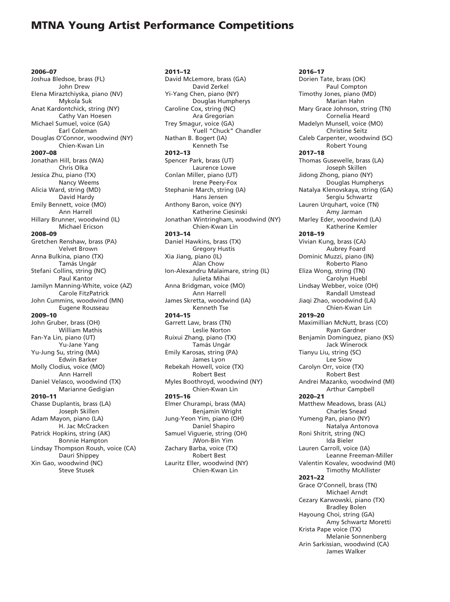2006–07 Joshua Bledsoe, brass (FL) John Drew Elena Miraztchiyska, piano (NV) Mykola Suk Anat Kardontchick, string (NY) Cathy Van Hoesen Michael Sumuel, voice (GA) Earl Coleman Douglas O'Connor, woodwind (NY) Chien-Kwan Lin 2007–08 Jonathan Hill, brass (WA) Chris Olka Jessica Zhu, piano (TX) Nancy Weems Alicia Ward, string (MD) David Hardy Emily Bennett, voice (MO) Ann Harrell Hillary Brunner, woodwind (IL) Michael Ericson 2008–09 Gretchen Renshaw, brass (PA) Velvet Brown Anna Bulkina, piano (TX) Tamás Ungár Stefani Collins, string (NC) Paul Kantor Jamilyn Manning-White, voice (AZ) Carole FitzPatrick John Cummins, woodwind (MN) Eugene Rousseau 2009–10 John Gruber, brass (OH) William Mathis Fan-Ya Lin, piano (UT) Yu-Jane Yang Yu-Jung Su, string (MA) Edwin Barker Molly Clodius, voice (MO) Ann Harrell Daniel Velasco, woodwind (TX) Marianne Gedigian 2010–11 Chasse Duplantis, brass (LA) Joseph Skillen Adam Mayon, piano (LA) H. Jac McCracken Patrick Hopkins, string (AK) Bonnie Hampton Lindsay Thompson Roush, voice (CA) Dauri Shippey Xin Gao, woodwind (NC) Steve Stusek

2011–12 David McLemore, brass (GA) David Zerkel Yi-Yang Chen, piano (NY) Douglas Humpherys Caroline Cox, string (NC) Ara Gregorian Trey Smagur, voice (GA) Yuell "Chuck" Chandler Nathan B. Bogert (IA) Kenneth Tse 2012–13 Spencer Park, brass (UT) Laurence Lowe Conlan Miller, piano (UT) Irene Peery-Fox Stephanie March, string (IA) Hans Jensen Anthony Baron, voice (NY) Katherine Ciesinski Jonathan Wintringham, woodwind (NY) Chien-Kwan Lin 2013–14 Daniel Hawkins, brass (TX) Gregory Hustis Xia Jiang, piano (IL) Alan Chow Ion-Alexandru Malaimare, string (IL) Julieta Mihai Anna Bridgman, voice (MO) Ann Harrell James Skretta, woodwind (IA) Kenneth Tse 2014–15 Garrett Law, brass (TN) Leslie Norton Ruixui Zhang, piano (TX) Tamás Ungár Emily Karosas, string (PA) James Lyon Rebekah Howell, voice (TX) Robert Best Myles Boothroyd, woodwind (NY) Chien-Kwan Lin 2015–16 Elmer Churampi, brass (MA) Benjamin Wright Jung-Yeon Yim, piano (OH) Daniel Shapiro Samuel Viguerie, string (OH) JWon-Bin Yim Zachary Barba, voice (TX) Robert Best Lauritz Eller, woodwind (NY) Chien-Kwan Lin

2016–17 Dorien Tate, brass (OK) Paul Compton Timothy Jones, piano (MD) Marian Hahn Mary Grace Johnson, string (TN) Cornelia Heard Madelyn Munsell, voice (MO) Christine Seitz Caleb Carpenter, woodwind (SC) Robert Young 2017–18 Thomas Gusewelle, brass (LA) Joseph Skillen Jidong Zhong, piano (NY) Douglas Humpherys Natalya Klenovskaya, string (GA) Sergiu Schwartz Lauren Urquhart, voice (TN) Amy Jarman Marley Eder, woodwind (LA) Katherine Kemler 2018–19 Vivian Kung, brass (CA) Aubrey Foard Dominic Muzzi, piano (IN) Roberto Plano Eliza Wong, string (TN) Carolyn Huebl Lindsay Webber, voice (OH) Randall Umstead Jiaqi Zhao, woodwind (LA) Chien-Kwan Lin 2019–20 Maximillian McNutt, brass (CO) Ryan Gardner Benjamin Dominguez, piano (KS) Jack Winerock Tianyu Liu, string (SC) Lee Siow Carolyn Orr, voice (TX) Robert Best Andrei Mazanko, woodwind (MI) Arthur Campbell 2020–21 Matthew Meadows, brass (AL) Charles Snead Yumeng Pan, piano (NY) Natalya Antonova Roni Shitrit, string (NC) Ida Bieler Lauren Carroll, voice (IA) Leanne Freeman-Miller Valentin Kovalev, woodwind (MI) Timothy McAllister 2021–22 Grace O'Connell, brass (TN) Michael Arndt Cezary Karwowski, piano (TX) Bradley Bolen Hayoung Choi, string (GA) Amy Schwartz Moretti Krista Pape voice (TX) Melanie Sonnenberg Arin Sarkissian, woodwind (CA)

James Walker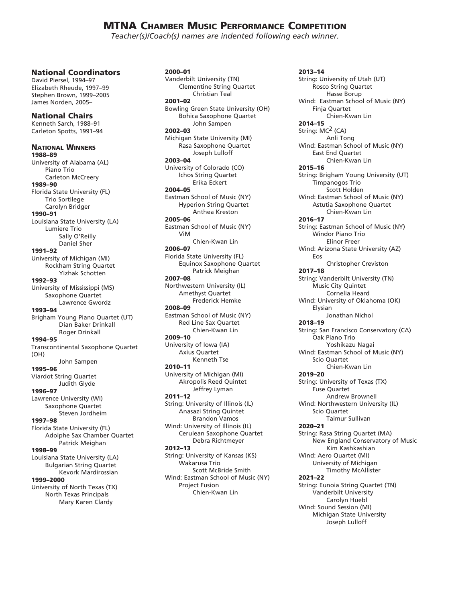### MTNA Chamber Music Performance Competition

*Teacher(s)/Coach(s) names are indented following each winner.*

#### National Coordinators

David Piersel, 1994–97 Elizabeth Rheude, 1997–99 Stephen Brown, 1999–2005 James Norden, 2005–

National Chairs Kenneth Sarch, 1988–91 Carleton Spotts, 1991–94 National Winners 1988–89 University of Alabama (AL) Piano Trio Carleton McCreery 1989–90 Florida State University (FL) Trio Sortilege Carolyn Bridger 1990–91 Louisiana State University (LA) Lumiere Trio Sally O'Reilly Daniel Sher 1991–92 University of Michigan (MI) Rockham String Quartet Yizhak Schotten 1992–93 University of Mississippi (MS) Saxophone Quartet Lawrence Gwordz 1993–94 Brigham Young Piano Quartet (UT) Dian Baker Drinkall Roger Drinkall 1994–95 Transcontinental Saxophone Quartet (OH) John Sampen 1995–96 Viardot String Quartet Judith Glyde 1996–97 Lawrence University (WI) Saxophone Quartet Steven Jordheim 1997–98 Florida State University (FL) Adolphe Sax Chamber Quartet Patrick Meighan 1998–99 Louisiana State University (LA) Bulgarian String Quartet Kevork Mardirossian 1999–2000 University of North Texas (TX) North Texas Principals

Mary Karen Clardy

2000–01 Vanderbilt University (TN) Clementine String Quartet Christian Teal 2001–02 Bowling Green State University (OH) Bohica Saxophone Quartet John Sampen 2002–03 Michigan State University (MI) Rasa Saxophone Quartet Joseph Lulloff 2003–04 University of Colorado (CO) Ichos String Quartet Erika Eckert 2004–05 Eastman School of Music (NY) Hyperion String Quartet Anthea Kreston 2005–06 Eastman School of Music (NY) ViM Chien-Kwan Lin 2006–07 Florida State University (FL) Equinox Saxophone Quartet Patrick Meighan 2007–08 Northwestern University (IL) Amethyst Quartet Frederick Hemke 2008–09 Eastman School of Music (NY) Red Line Sax Quartet Chien-Kwan Lin 2009–10 University of Iowa (IA) Axius Quartet Kenneth Tse 2010–11 University of Michigan (MI) Akropolis Reed Quintet Jeffrey Lyman 2011–12 String: University of Illinois (IL) Anasazi String Quintet Brandon Vamos Wind: University of Illinois (IL) Cerulean Saxophone Quartet Debra Richtmeyer 2012–13 String: University of Kansas (KS) Wakarusa Trio Scott McBride Smith Wind: Eastman School of Music (NY) Project Fusion Chien-Kwan Lin

2013–14 String: University of Utah (UT) Rosco String Quartet Hasse Borup Wind: Eastman School of Music (NY) Finja Quartet Chien-Kwan Lin 2014–15 String: MC2 (CA) Anli Tong Wind: Eastman School of Music (NY) East End Quartet Chien-Kwan Lin 2015–16 String: Brigham Young University (UT) Timpanogos Trio Scott Holden Wind: Eastman School of Music (NY) Astutia Saxophone Quartet Chien-Kwan Lin 2016–17 String: Eastman School of Music (NY) Windor Piano Trio Elinor Freer Wind: Arizona State University (AZ) Eos Christopher Creviston 2017–18 String: Vanderbilt University (TN) Music City Quintet Cornelia Heard Wind: University of Oklahoma (OK) Elysian Jonathan Nichol 2018–19 String: San Francisco Conservatory (CA) Oak Piano Trio Yoshikazu Nagai Wind: Eastman School of Music (NY) Scio Quartet Chien-Kwan Lin 2019–20 String: University of Texas (TX) Fuse Quartet Andrew Brownell Wind: Northwestern University (IL) Scio Quartet Taimur Sullivan 2020–21 String: Rasa String Quartet (MA) New England Conservatory of Music Kim Kashkashian Wind: Aero Quartet (MI) University of Michigan Timothy McAllister 2021–22 String: Eunoia String Quartet (TN) Vanderbilt University Carolyn Huebl Wind: Sound Session (MI) Michigan State University Joseph Lulloff